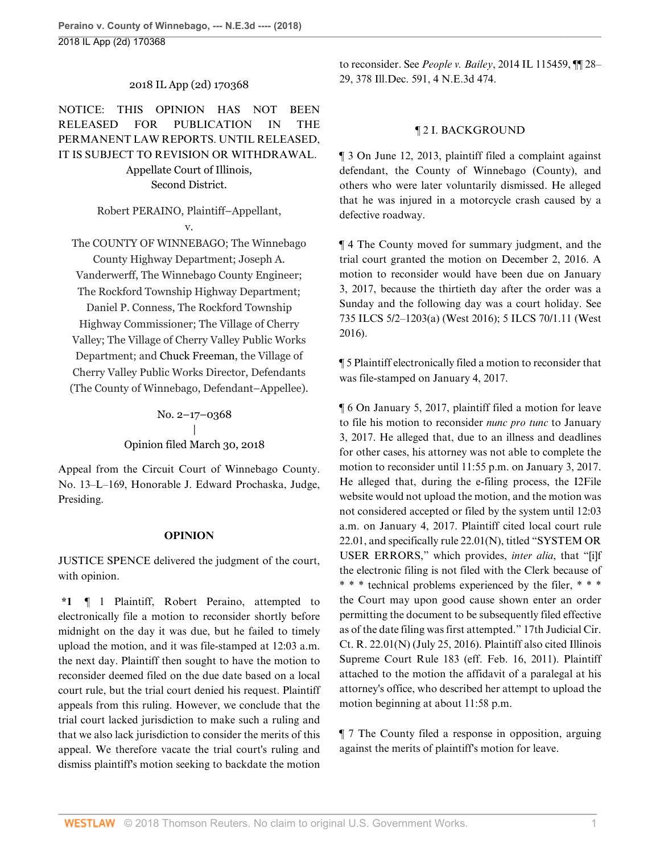# 2018 IL App (2d) 170368

NOTICE: THIS OPINION HAS NOT BEEN RELEASED FOR PUBLICATION IN THE PERMANENT LAW REPORTS. UNTIL RELEASED, IT IS SUBJECT TO REVISION OR WITHDRAWAL. Appellate Court of Illinois, Second District.

> Robert PERAINO, Plaintiff–Appellant, v.

The COUNTY OF WINNEBAGO; The Winnebago County Highway Department; Joseph A. Vanderwerff, The Winnebago County Engineer; The Rockford Township Highway Department; Daniel P. Conness, The Rockford Township Highway Commissioner; The Village of Cherry Valley; The Village of Cherry Valley Public Works Department; and [Chuck Freeman](http://www.westlaw.com/Search/Results.html?query=advanced%3a+OAID(5023421535)&saveJuris=False&contentType=BUSINESS-INVESTIGATOR&startIndex=1&contextData=(sc.Default)&categoryPageUrl=Home%2fCompanyInvestigator&originationContext=document&vr=3.0&rs=cblt1.0&transitionType=DocumentItem), the Village of Cherry Valley Public Works Director, Defendants (The County of Winnebago, Defendant–Appellee).

> No. 2–17–0368 | Opinion filed March 30, 2018

Appeal from the Circuit Court of Winnebago County. No. 13–[L–169, Honorable J. E](http://www.westlaw.com/Link/Document/FullText?findType=h&pubNum=176284&cite=0106787102&originatingDoc=Ided7b990345e11e8a054a06708233710&refType=RQ&originationContext=document&vr=3.0&rs=cblt1.0&transitionType=DocumentItem&contextData=(sc.AlertsClip))dward Prochaska, Judge, Presiding.

# **OPINION**

JUSTICE [SPENCE](http://www.westlaw.com/Link/Document/FullText?findType=h&pubNum=176284&cite=0287543601&originatingDoc=Ided7b990345e11e8a054a06708233710&refType=RQ&originationContext=document&vr=3.0&rs=cblt1.0&transitionType=DocumentItem&contextData=(sc.AlertsClip)) delivered the judgment of the court, with opinion.

**\*1** ¶ 1 Plaintiff, Robert Peraino, attempted to electronically file a motion to reconsider shortly before midnight on the day it was due, but he failed to timely upload the motion, and it was file-stamped at 12:03 a.m. the next day. Plaintiff then sought to have the motion to reconsider deemed filed on the due date based on a local court rule, but the trial court denied his request. Plaintiff appeals from this ruling. However, we conclude that the trial court lacked jurisdiction to make such a ruling and that we also lack jurisdiction to consider the merits of this appeal. We therefore vacate the trial court's ruling and dismiss plaintiff's motion seeking to backdate the motion

to reconsider. See *People v. Bailey*[, 2014 IL 115459, ¶¶ 28–](http://www.westlaw.com/Link/Document/FullText?findType=Y&serNum=2032670890&pubNum=0007724&originatingDoc=Ided7b990345e11e8a054a06708233710&refType=RP&originationContext=document&vr=3.0&rs=cblt1.0&transitionType=DocumentItem&contextData=(sc.AlertsClip)) [29, 378 Ill.Dec. 591, 4 N.E.3d 474.](http://www.westlaw.com/Link/Document/FullText?findType=Y&serNum=2032670890&pubNum=0007724&originatingDoc=Ided7b990345e11e8a054a06708233710&refType=RP&originationContext=document&vr=3.0&rs=cblt1.0&transitionType=DocumentItem&contextData=(sc.AlertsClip))

### ¶ 2 I. BACKGROUND

¶ 3 On June 12, 2013, plaintiff filed a complaint against defendant, the County of Winnebago (County), and others who were later voluntarily dismissed. He alleged that he was injured in a motorcycle crash caused by a defective roadway.

¶ 4 The County moved for summary judgment, and the trial court granted the motion on December 2, 2016. A motion to reconsider would have been due on January 3, 2017, because the thirtieth day after the order was a Sunday and the following day was a court holiday. See [735 ILCS 5/2–1203\(a\)](http://www.westlaw.com/Link/Document/FullText?findType=L&pubNum=1000008&cite=IL735S5%2f2-1203&originatingDoc=Ided7b990345e11e8a054a06708233710&refType=SP&originationContext=document&vr=3.0&rs=cblt1.0&transitionType=DocumentItem&contextData=(sc.AlertsClip)#co_pp_8b3b0000958a4) (West 2016); [5 ILCS 70/1.11 \(West](http://www.westlaw.com/Link/Document/FullText?findType=L&pubNum=1000008&cite=ILSTC5S70%2f1.11&originatingDoc=Ided7b990345e11e8a054a06708233710&refType=LQ&originationContext=document&vr=3.0&rs=cblt1.0&transitionType=DocumentItem&contextData=(sc.AlertsClip)) [2016\)](http://www.westlaw.com/Link/Document/FullText?findType=L&pubNum=1000008&cite=ILSTC5S70%2f1.11&originatingDoc=Ided7b990345e11e8a054a06708233710&refType=LQ&originationContext=document&vr=3.0&rs=cblt1.0&transitionType=DocumentItem&contextData=(sc.AlertsClip)).

¶ 5 Plaintiff electronically filed a motion to reconsider that was file-stamped on January 4, 2017.

¶ 6 On January 5, 2017, plaintiff filed a motion for leave to file his motion to reconsider *nunc pro tunc* to January 3, 2017. He alleged that, due to an illness and deadlines for other cases, his attorney was not able to complete the motion to reconsider until 11:55 p.m. on January 3, 2017. He alleged that, during the e-filing process, the I2File website would not upload the motion, and the motion was not considered accepted or filed by the system until 12:03 a.m. on January 4, 2017. Plaintiff cited local court rule 22.01, and specifically rule 22.01(N), titled "SYSTEM OR USER ERRORS," which provides, *inter alia*, that "[i]f the electronic filing is not filed with the Clerk because of \* \* \* technical problems experienced by the filer, \* \* \* the Court may upon good cause shown enter an order permitting the document to be subsequently filed effective as of the date filing was first attempted." 17th Judicial Cir. Ct. R. 22.01(N) (July 25, 2016). Plaintiff also cited [Illinois](http://www.westlaw.com/Link/Document/FullText?findType=L&pubNum=1003673&cite=ILRSCTR183&originatingDoc=Ided7b990345e11e8a054a06708233710&refType=LQ&originationContext=document&vr=3.0&rs=cblt1.0&transitionType=DocumentItem&contextData=(sc.AlertsClip)) [Supreme Court Rule 183](http://www.westlaw.com/Link/Document/FullText?findType=L&pubNum=1003673&cite=ILRSCTR183&originatingDoc=Ided7b990345e11e8a054a06708233710&refType=LQ&originationContext=document&vr=3.0&rs=cblt1.0&transitionType=DocumentItem&contextData=(sc.AlertsClip)) (eff. Feb. 16, 2011). Plaintiff attached to the motion the affidavit of a paralegal at his attorney's office, who described her attempt to upload the motion beginning at about 11:58 p.m.

¶ 7 The County filed a response in opposition, arguing against the merits of plaintiff's motion for leave.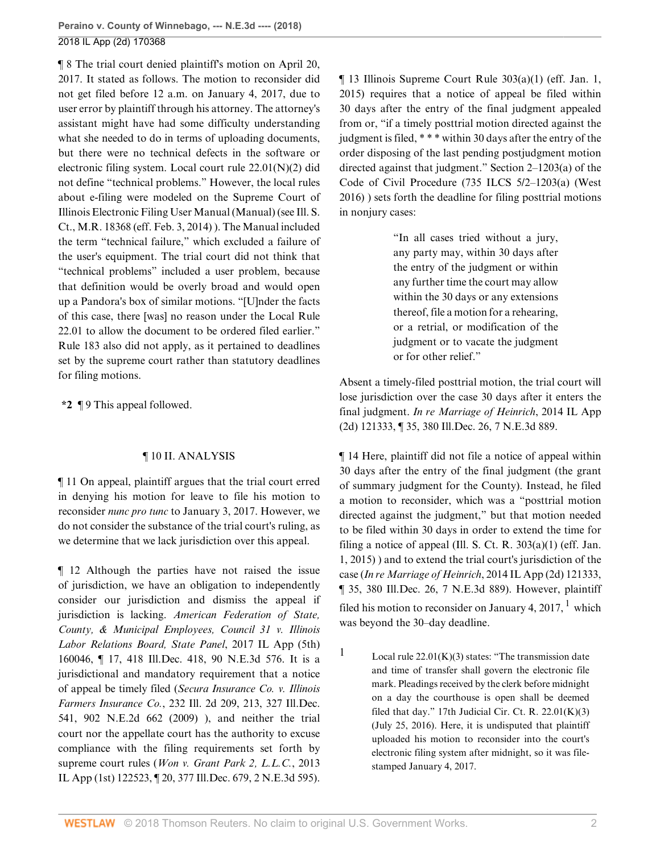¶ 8 The trial court denied plaintiff's motion on April 20, 2017. It stated as follows. The motion to reconsider did not get filed before 12 a.m. on January 4, 2017, due to user error by plaintiff through his attorney. The attorney's assistant might have had some difficulty understanding what she needed to do in terms of uploading documents, but there were no technical defects in the software or electronic filing system. Local court rule 22.01(N)(2) did not define "technical problems." However, the local rules about e-filing were modeled on the Supreme Court of Illinois Electronic Filing User Manual (Manual) (see Ill. S. Ct., M.R. 18368 (eff. Feb. 3, 2014) ). The Manual included the term "technical failure," which excluded a failure of the user's equipment. The trial court did not think that "technical problems" included a user problem, because that definition would be overly broad and would open up a Pandora's box of similar motions. "[U]nder the facts of this case, there [was] no reason under the Local Rule 22.01 to allow the document to be ordered filed earlier." [Rule 183](http://www.westlaw.com/Link/Document/FullText?findType=L&pubNum=1003673&cite=ILRSCTR183&originatingDoc=Ided7b990345e11e8a054a06708233710&refType=LQ&originationContext=document&vr=3.0&rs=cblt1.0&transitionType=DocumentItem&contextData=(sc.AlertsClip)) also did not apply, as it pertained to deadlines set by the supreme court rather than statutory deadlines for filing motions.

**\*2** ¶ 9 This appeal followed.

# ¶ 10 II. ANALYSIS

¶ 11 On appeal, plaintiff argues that the trial court erred in denying his motion for leave to file his motion to reconsider *nunc pro tunc* to January 3, 2017. However, we do not consider the substance of the trial court's ruling, as we determine that we lack jurisdiction over this appeal.

¶ 12 Although the parties have not raised the issue of jurisdiction, we have an obligation to independently consider our jurisdiction and dismiss the appeal if jurisdiction is lacking. *[American Federation of State,](http://www.westlaw.com/Link/Document/FullText?findType=Y&serNum=2043140435&pubNum=0007902&originatingDoc=Ided7b990345e11e8a054a06708233710&refType=RP&originationContext=document&vr=3.0&rs=cblt1.0&transitionType=DocumentItem&contextData=(sc.AlertsClip)) [County, & Municipal Employees, Council 31 v. Illinois](http://www.westlaw.com/Link/Document/FullText?findType=Y&serNum=2043140435&pubNum=0007902&originatingDoc=Ided7b990345e11e8a054a06708233710&refType=RP&originationContext=document&vr=3.0&rs=cblt1.0&transitionType=DocumentItem&contextData=(sc.AlertsClip)) [Labor Relations Board, State Panel](http://www.westlaw.com/Link/Document/FullText?findType=Y&serNum=2043140435&pubNum=0007902&originatingDoc=Ided7b990345e11e8a054a06708233710&refType=RP&originationContext=document&vr=3.0&rs=cblt1.0&transitionType=DocumentItem&contextData=(sc.AlertsClip))*, 2017 IL App (5th) [160046, ¶ 17, 418 Ill.Dec. 418, 90 N.E.3d 576.](http://www.westlaw.com/Link/Document/FullText?findType=Y&serNum=2043140435&pubNum=0007902&originatingDoc=Ided7b990345e11e8a054a06708233710&refType=RP&originationContext=document&vr=3.0&rs=cblt1.0&transitionType=DocumentItem&contextData=(sc.AlertsClip)) It is a jurisdictional and mandatory requirement that a notice of appeal be timely filed (*[Secura Insurance Co. v. Illinois](http://www.westlaw.com/Link/Document/FullText?findType=Y&serNum=2017938668&pubNum=0000439&originatingDoc=Ided7b990345e11e8a054a06708233710&refType=RP&fi=co_pp_sp_439_213&originationContext=document&vr=3.0&rs=cblt1.0&transitionType=DocumentItem&contextData=(sc.AlertsClip)#co_pp_sp_439_213) Farmers Insurance Co.*[, 232 Ill. 2d 209, 213, 327 Ill.Dec.](http://www.westlaw.com/Link/Document/FullText?findType=Y&serNum=2017938668&pubNum=0000439&originatingDoc=Ided7b990345e11e8a054a06708233710&refType=RP&fi=co_pp_sp_439_213&originationContext=document&vr=3.0&rs=cblt1.0&transitionType=DocumentItem&contextData=(sc.AlertsClip)#co_pp_sp_439_213) [541, 902 N.E.2d 662 \(2009\)](http://www.westlaw.com/Link/Document/FullText?findType=Y&serNum=2017938668&pubNum=0000439&originatingDoc=Ided7b990345e11e8a054a06708233710&refType=RP&fi=co_pp_sp_439_213&originationContext=document&vr=3.0&rs=cblt1.0&transitionType=DocumentItem&contextData=(sc.AlertsClip)#co_pp_sp_439_213) ), and neither the trial court nor the appellate court has the authority to excuse compliance with the filing requirements set forth by supreme court rules (*[Won v. Grant Park 2, L.L.C.](http://www.westlaw.com/Link/Document/FullText?findType=Y&serNum=2032307467&pubNum=0007726&originatingDoc=Ided7b990345e11e8a054a06708233710&refType=RP&originationContext=document&vr=3.0&rs=cblt1.0&transitionType=DocumentItem&contextData=(sc.AlertsClip))*, 2013 [IL App \(1st\) 122523, ¶ 20, 377 Ill.Dec. 679, 2 N.E.3d 595\)](http://www.westlaw.com/Link/Document/FullText?findType=Y&serNum=2032307467&pubNum=0007726&originatingDoc=Ided7b990345e11e8a054a06708233710&refType=RP&originationContext=document&vr=3.0&rs=cblt1.0&transitionType=DocumentItem&contextData=(sc.AlertsClip)). ¶ 13 [Illinois Supreme Court Rule 303\(a\)\(1\)](http://www.westlaw.com/Link/Document/FullText?findType=L&pubNum=1003673&cite=ILRSCTR303&originatingDoc=Ided7b990345e11e8a054a06708233710&refType=LQ&originationContext=document&vr=3.0&rs=cblt1.0&transitionType=DocumentItem&contextData=(sc.AlertsClip)) (eff. Jan. 1, 2015) requires that a notice of appeal be filed within 30 days after the entry of the final judgment appealed from or, "if a timely posttrial motion directed against the judgment is filed, \* \* \* within 30 days after the entry of the order disposing of the last pending postjudgment motion directed against that judgment." [Section 2–1203\(a\) of the](http://www.westlaw.com/Link/Document/FullText?findType=L&pubNum=1000008&cite=IL735S5%2f2-1203&originatingDoc=Ided7b990345e11e8a054a06708233710&refType=SP&originationContext=document&vr=3.0&rs=cblt1.0&transitionType=DocumentItem&contextData=(sc.AlertsClip)#co_pp_8b3b0000958a4) [Code of Civil Procedure](http://www.westlaw.com/Link/Document/FullText?findType=L&pubNum=1000008&cite=IL735S5%2f2-1203&originatingDoc=Ided7b990345e11e8a054a06708233710&refType=SP&originationContext=document&vr=3.0&rs=cblt1.0&transitionType=DocumentItem&contextData=(sc.AlertsClip)#co_pp_8b3b0000958a4) ([735 ILCS 5/2–1203\(a\)](http://www.westlaw.com/Link/Document/FullText?findType=L&pubNum=1000008&cite=IL735S5%2f2-1203&originatingDoc=Ided7b990345e11e8a054a06708233710&refType=SP&originationContext=document&vr=3.0&rs=cblt1.0&transitionType=DocumentItem&contextData=(sc.AlertsClip)#co_pp_8b3b0000958a4) (West 2016) ) sets forth the deadline for filing posttrial motions in nonjury cases:

> "In all cases tried without a jury, any party may, within 30 days after the entry of the judgment or within any further time the court may allow within the 30 days or any extensions thereof, file a motion for a rehearing, or a retrial, or modification of the judgment or to vacate the judgment or for other relief."

Absent a timely-filed posttrial motion, the trial court will lose jurisdiction over the case 30 days after it enters the final judgment. *[In re Marriage of Heinrich](http://www.westlaw.com/Link/Document/FullText?findType=Y&serNum=2032930150&pubNum=0007727&originatingDoc=Ided7b990345e11e8a054a06708233710&refType=RP&originationContext=document&vr=3.0&rs=cblt1.0&transitionType=DocumentItem&contextData=(sc.AlertsClip))*, 2014 IL App [\(2d\) 121333, ¶ 35, 380 Ill.Dec. 26, 7 N.E.3d 889.](http://www.westlaw.com/Link/Document/FullText?findType=Y&serNum=2032930150&pubNum=0007727&originatingDoc=Ided7b990345e11e8a054a06708233710&refType=RP&originationContext=document&vr=3.0&rs=cblt1.0&transitionType=DocumentItem&contextData=(sc.AlertsClip))

¶ 14 Here, plaintiff did not file a notice of appeal within 30 days after the entry of the final judgment (the grant of summary judgment for the County). Instead, he filed a motion to reconsider, which was a "posttrial motion directed against the judgment," but that motion needed to be filed within 30 days in order to extend the time for filing a notice of appeal (Ill. S. Ct. R.  $303(a)(1)$  (eff. Jan. 1, 2015) ) and to extend the trial court's jurisdiction of the case (*In re Marriage of Heinrich*[, 2014 IL App \(2d\) 121333,](http://www.westlaw.com/Link/Document/FullText?findType=Y&serNum=2032930150&pubNum=0007902&originatingDoc=Ided7b990345e11e8a054a06708233710&refType=RP&originationContext=document&vr=3.0&rs=cblt1.0&transitionType=DocumentItem&contextData=(sc.AlertsClip)) [¶ 35, 380 Ill.Dec. 26, 7 N.E.3d 889\)](http://www.westlaw.com/Link/Document/FullText?findType=Y&serNum=2032930150&pubNum=0007902&originatingDoc=Ided7b990345e11e8a054a06708233710&refType=RP&originationContext=document&vr=3.0&rs=cblt1.0&transitionType=DocumentItem&contextData=(sc.AlertsClip)). However, plaintiff filed his motion to reconsider on January 4, 20[1](#page-1-0)7,  $^1$  which was beyond the 30–day deadline.

<span id="page-1-1"></span><span id="page-1-0"></span>[1](#page-1-1) Local rule  $22.01(K)(3)$  states: "The transmission date and time of transfer shall govern the electronic file mark. Pleadings received by the clerk before midnight on a day the courthouse is open shall be deemed filed that day." 17th Judicial Cir. Ct. R.  $22.01(K)(3)$ (July 25, 2016). Here, it is undisputed that plaintiff uploaded his motion to reconsider into the court's electronic filing system after midnight, so it was filestamped January 4, 2017.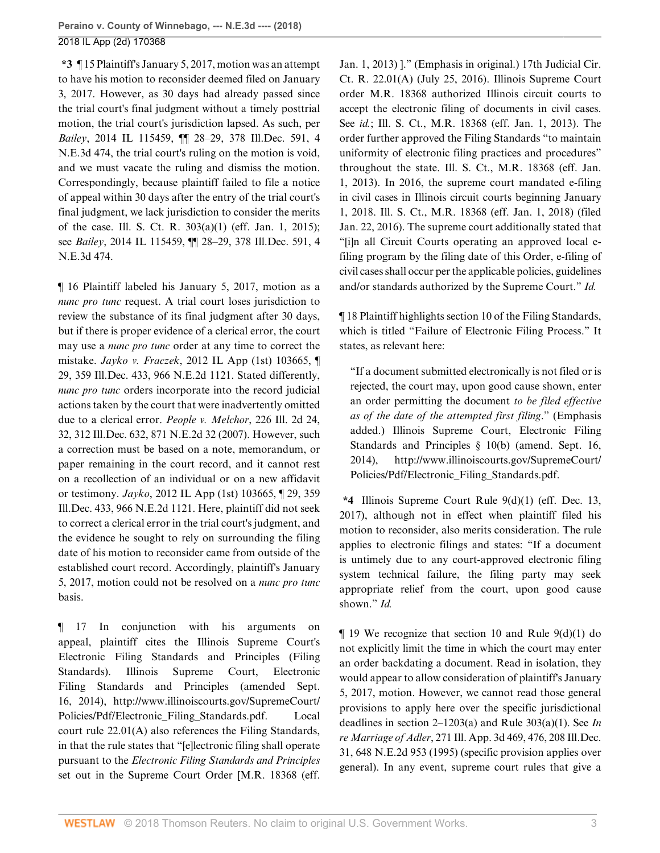**\*3** ¶ 15 Plaintiff's January 5, 2017, motion was an attempt to have his motion to reconsider deemed filed on January 3, 2017. However, as 30 days had already passed since the trial court's final judgment without a timely posttrial motion, the trial court's jurisdiction lapsed. As such, per *Bailey*[, 2014 IL 115459, ¶¶ 28–29, 378 Ill.Dec. 591, 4](http://www.westlaw.com/Link/Document/FullText?findType=Y&serNum=2032670890&pubNum=0007724&originatingDoc=Ided7b990345e11e8a054a06708233710&refType=RP&originationContext=document&vr=3.0&rs=cblt1.0&transitionType=DocumentItem&contextData=(sc.AlertsClip)) [N.E.3d 474,](http://www.westlaw.com/Link/Document/FullText?findType=Y&serNum=2032670890&pubNum=0007724&originatingDoc=Ided7b990345e11e8a054a06708233710&refType=RP&originationContext=document&vr=3.0&rs=cblt1.0&transitionType=DocumentItem&contextData=(sc.AlertsClip)) the trial court's ruling on the motion is void, and we must vacate the ruling and dismiss the motion. Correspondingly, because plaintiff failed to file a notice of appeal within 30 days after the entry of the trial court's final judgment, we lack jurisdiction to consider the merits of the case. [Ill. S. Ct. R. 303\(a\)\(1\)](http://www.westlaw.com/Link/Document/FullText?findType=L&pubNum=1003673&cite=ILRSCTR303&originatingDoc=Ided7b990345e11e8a054a06708233710&refType=LQ&originationContext=document&vr=3.0&rs=cblt1.0&transitionType=DocumentItem&contextData=(sc.AlertsClip)) (eff. Jan. 1, 2015); see *Bailey*[, 2014 IL 115459, ¶¶ 28–29, 378 Ill.Dec. 591, 4](http://www.westlaw.com/Link/Document/FullText?findType=Y&serNum=2032670890&pubNum=0007724&originatingDoc=Ided7b990345e11e8a054a06708233710&refType=RP&originationContext=document&vr=3.0&rs=cblt1.0&transitionType=DocumentItem&contextData=(sc.AlertsClip)) [N.E.3d 474](http://www.westlaw.com/Link/Document/FullText?findType=Y&serNum=2032670890&pubNum=0007724&originatingDoc=Ided7b990345e11e8a054a06708233710&refType=RP&originationContext=document&vr=3.0&rs=cblt1.0&transitionType=DocumentItem&contextData=(sc.AlertsClip)).

¶ 16 Plaintiff labeled his January 5, 2017, motion as a *nunc pro tunc* request. A trial court loses jurisdiction to review the substance of its final judgment after 30 days, but if there is proper evidence of a clerical error, the court may use a *nunc pro tunc* order at any time to correct the mistake. *Jayko v. Fraczek*[, 2012 IL App \(1st\) 103665, ¶](http://www.westlaw.com/Link/Document/FullText?findType=Y&serNum=2027296094&pubNum=0007726&originatingDoc=Ided7b990345e11e8a054a06708233710&refType=RP&originationContext=document&vr=3.0&rs=cblt1.0&transitionType=DocumentItem&contextData=(sc.AlertsClip)) [29, 359 Ill.Dec. 433, 966 N.E.2d 1121.](http://www.westlaw.com/Link/Document/FullText?findType=Y&serNum=2027296094&pubNum=0007726&originatingDoc=Ided7b990345e11e8a054a06708233710&refType=RP&originationContext=document&vr=3.0&rs=cblt1.0&transitionType=DocumentItem&contextData=(sc.AlertsClip)) Stated differently, *nunc pro tunc* orders incorporate into the record judicial actions taken by the court that were inadvertently omitted due to a clerical error. *[People v. Melchor](http://www.westlaw.com/Link/Document/FullText?findType=Y&serNum=2012439829&pubNum=0000439&originatingDoc=Ided7b990345e11e8a054a06708233710&refType=RP&fi=co_pp_sp_439_32&originationContext=document&vr=3.0&rs=cblt1.0&transitionType=DocumentItem&contextData=(sc.AlertsClip)#co_pp_sp_439_32)*, 226 Ill. 2d 24, [32, 312 Ill.Dec. 632, 871 N.E.2d 32 \(2007\)](http://www.westlaw.com/Link/Document/FullText?findType=Y&serNum=2012439829&pubNum=0000439&originatingDoc=Ided7b990345e11e8a054a06708233710&refType=RP&fi=co_pp_sp_439_32&originationContext=document&vr=3.0&rs=cblt1.0&transitionType=DocumentItem&contextData=(sc.AlertsClip)#co_pp_sp_439_32). However, such a correction must be based on a note, memorandum, or paper remaining in the court record, and it cannot rest on a recollection of an individual or on a new affidavit or testimony. *Jayko*[, 2012 IL App \(1st\) 103665, ¶ 29, 359](http://www.westlaw.com/Link/Document/FullText?findType=Y&serNum=2027296094&pubNum=0007726&originatingDoc=Ided7b990345e11e8a054a06708233710&refType=RP&originationContext=document&vr=3.0&rs=cblt1.0&transitionType=DocumentItem&contextData=(sc.AlertsClip)) [Ill.Dec. 433, 966 N.E.2d 1121.](http://www.westlaw.com/Link/Document/FullText?findType=Y&serNum=2027296094&pubNum=0007726&originatingDoc=Ided7b990345e11e8a054a06708233710&refType=RP&originationContext=document&vr=3.0&rs=cblt1.0&transitionType=DocumentItem&contextData=(sc.AlertsClip)) Here, plaintiff did not seek to correct a clerical error in the trial court's judgment, and the evidence he sought to rely on surrounding the filing date of his motion to reconsider came from outside of the established court record. Accordingly, plaintiff's January 5, 2017, motion could not be resolved on a *nunc pro tunc* basis.

¶ 17 In conjunction with his arguments on appeal, plaintiff cites the Illinois Supreme Court's Electronic Filing Standards and Principles (Filing Standards). Illinois Supreme Court, Electronic Filing Standards and Principles (amended Sept. 16, 2014), http://www.illinoiscourts.gov/SupremeCourt/ Policies/Pdf/Electronic\_Filing\_Standards.pdf. Local court rule 22.01(A) also references the Filing Standards, in that the rule states that "[e]lectronic filing shall operate pursuant to the *Electronic Filing Standards and Principles* set out in the Supreme Court Order [M.R. 18368 (eff. Jan. 1, 2013) ]." (Emphasis in original.) 17th Judicial Cir. Ct. R. 22.01(A) (July 25, 2016). Illinois Supreme Court order M.R. 18368 authorized Illinois circuit courts to accept the electronic filing of documents in civil cases. See *id.*; Ill. S. Ct., M.R. 18368 (eff. Jan. 1, 2013). The order further approved the Filing Standards "to maintain uniformity of electronic filing practices and procedures" throughout the state. Ill. S. Ct., M.R. 18368 (eff. Jan. 1, 2013). In 2016, the supreme court mandated e-filing in civil cases in Illinois circuit courts beginning January 1, 2018. Ill. S. Ct., M.R. 18368 (eff. Jan. 1, 2018) (filed Jan. 22, 2016). The supreme court additionally stated that "[i]n all Circuit Courts operating an approved local efiling program by the filing date of this Order, e-filing of civil cases shall occur per the applicable policies, guidelines and/or standards authorized by the Supreme Court." *Id.*

¶ 18 Plaintiff highlights section 10 of the Filing Standards, which is titled "Failure of Electronic Filing Process." It states, as relevant here:

"If a document submitted electronically is not filed or is rejected, the court may, upon good cause shown, enter an order permitting the document *to be filed effective as of the date of the attempted first filing*." (Emphasis added.) Illinois Supreme Court, Electronic Filing Standards and Principles § 10(b) (amend. Sept. 16, 2014), http://www.illinoiscourts.gov/SupremeCourt/ Policies/Pdf/Electronic\_Filing\_Standards.pdf.

**\*4** [Illinois Supreme Court Rule 9\(d\)\(1\)](http://www.westlaw.com/Link/Document/FullText?findType=L&pubNum=1003673&cite=ILRSCTR9&originatingDoc=Ided7b990345e11e8a054a06708233710&refType=LQ&originationContext=document&vr=3.0&rs=cblt1.0&transitionType=DocumentItem&contextData=(sc.AlertsClip)) (eff. Dec. 13, 2017), although not in effect when plaintiff filed his motion to reconsider, also merits consideration. The rule applies to electronic filings and states: "If a document is untimely due to any court-approved electronic filing system technical failure, the filing party may seek appropriate relief from the court, upon good cause shown." *Id.*

¶ 19 We recognize that section 10 and [Rule 9\(d\)\(1\)](http://www.westlaw.com/Link/Document/FullText?findType=L&pubNum=1003673&cite=ILRSCTR9&originatingDoc=Ided7b990345e11e8a054a06708233710&refType=LQ&originationContext=document&vr=3.0&rs=cblt1.0&transitionType=DocumentItem&contextData=(sc.AlertsClip)) do not explicitly limit the time in which the court may enter an order backdating a document. Read in isolation, they would appear to allow consideration of plaintiff's January 5, 2017, motion. However, we cannot read those general provisions to apply here over the specific jurisdictional deadlines in [section 2–1203\(a\)](http://www.westlaw.com/Link/Document/FullText?findType=L&pubNum=1000008&cite=IL735S5%2f2-1203&originatingDoc=Ided7b990345e11e8a054a06708233710&refType=SP&originationContext=document&vr=3.0&rs=cblt1.0&transitionType=DocumentItem&contextData=(sc.AlertsClip)#co_pp_8b3b0000958a4) and Rule 303(a)(1). See *[In](http://www.westlaw.com/Link/Document/FullText?findType=Y&serNum=1995072861&pubNum=0000435&originatingDoc=Ided7b990345e11e8a054a06708233710&refType=RP&fi=co_pp_sp_435_476&originationContext=document&vr=3.0&rs=cblt1.0&transitionType=DocumentItem&contextData=(sc.AlertsClip)#co_pp_sp_435_476) re Marriage of Adler*[, 271 Ill. App. 3d 469, 476, 208 Ill.Dec.](http://www.westlaw.com/Link/Document/FullText?findType=Y&serNum=1995072861&pubNum=0000435&originatingDoc=Ided7b990345e11e8a054a06708233710&refType=RP&fi=co_pp_sp_435_476&originationContext=document&vr=3.0&rs=cblt1.0&transitionType=DocumentItem&contextData=(sc.AlertsClip)#co_pp_sp_435_476) [31, 648 N.E.2d 953 \(1995\)](http://www.westlaw.com/Link/Document/FullText?findType=Y&serNum=1995072861&pubNum=0000435&originatingDoc=Ided7b990345e11e8a054a06708233710&refType=RP&fi=co_pp_sp_435_476&originationContext=document&vr=3.0&rs=cblt1.0&transitionType=DocumentItem&contextData=(sc.AlertsClip)#co_pp_sp_435_476) (specific provision applies over general). In any event, supreme court rules that give a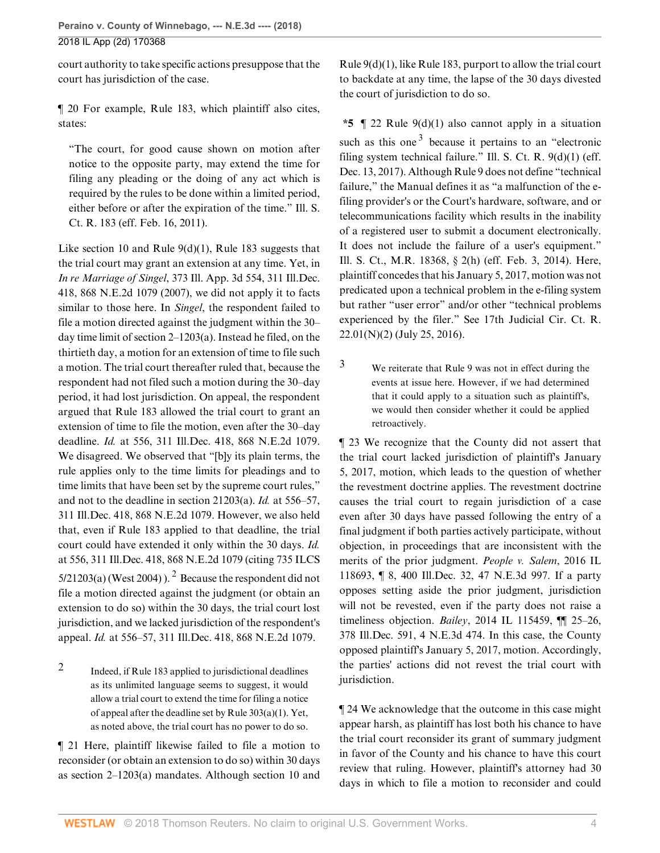court authority to take specific actions presuppose that the court has jurisdiction of the case.

¶ 20 For example, [Rule 183](http://www.westlaw.com/Link/Document/FullText?findType=L&pubNum=1003673&cite=ILRSCTR183&originatingDoc=Ided7b990345e11e8a054a06708233710&refType=LQ&originationContext=document&vr=3.0&rs=cblt1.0&transitionType=DocumentItem&contextData=(sc.AlertsClip)), which plaintiff also cites, states:

"The court, for good cause shown on motion after notice to the opposite party, may extend the time for filing any pleading or the doing of any act which is required by the rules to be done within a limited period, either before or after the expiration of the time." [Ill. S.](http://www.westlaw.com/Link/Document/FullText?findType=L&pubNum=1003673&cite=ILRSCTR183&originatingDoc=Ided7b990345e11e8a054a06708233710&refType=LQ&originationContext=document&vr=3.0&rs=cblt1.0&transitionType=DocumentItem&contextData=(sc.AlertsClip)) [Ct. R. 183](http://www.westlaw.com/Link/Document/FullText?findType=L&pubNum=1003673&cite=ILRSCTR183&originatingDoc=Ided7b990345e11e8a054a06708233710&refType=LQ&originationContext=document&vr=3.0&rs=cblt1.0&transitionType=DocumentItem&contextData=(sc.AlertsClip)) (eff. Feb. 16, 2011).

Like section 10 and Rule  $9(d)(1)$ , [Rule 183](http://www.westlaw.com/Link/Document/FullText?findType=L&pubNum=1003673&cite=ILRSCTR183&originatingDoc=Ided7b990345e11e8a054a06708233710&refType=LQ&originationContext=document&vr=3.0&rs=cblt1.0&transitionType=DocumentItem&contextData=(sc.AlertsClip)) suggests that the trial court may grant an extension at any time. Yet, in *In re Marriage of Singel*[, 373 Ill. App. 3d 554, 311 Ill.Dec.](http://www.westlaw.com/Link/Document/FullText?findType=Y&serNum=2012324868&pubNum=0000435&originatingDoc=Ided7b990345e11e8a054a06708233710&refType=RP&originationContext=document&vr=3.0&rs=cblt1.0&transitionType=DocumentItem&contextData=(sc.AlertsClip)) [418, 868 N.E.2d 1079 \(2007\),](http://www.westlaw.com/Link/Document/FullText?findType=Y&serNum=2012324868&pubNum=0000435&originatingDoc=Ided7b990345e11e8a054a06708233710&refType=RP&originationContext=document&vr=3.0&rs=cblt1.0&transitionType=DocumentItem&contextData=(sc.AlertsClip)) we did not apply it to facts similar to those here. In *[Singel](http://www.westlaw.com/Link/Document/FullText?findType=Y&serNum=2012324868&pubNum=0000435&originatingDoc=Ided7b990345e11e8a054a06708233710&refType=RP&originationContext=document&vr=3.0&rs=cblt1.0&transitionType=DocumentItem&contextData=(sc.AlertsClip))*, the respondent failed to file a motion directed against the judgment within the 30– day time limit of [section 2–1203\(a\).](http://www.westlaw.com/Link/Document/FullText?findType=L&pubNum=1000008&cite=IL735S5%2f2-1203&originatingDoc=Ided7b990345e11e8a054a06708233710&refType=SP&originationContext=document&vr=3.0&rs=cblt1.0&transitionType=DocumentItem&contextData=(sc.AlertsClip)#co_pp_8b3b0000958a4) Instead he filed, on the thirtieth day, a motion for an extension of time to file such a motion. The trial court thereafter ruled that, because the respondent had not filed such a motion during the 30–day period, it had lost jurisdiction. On appeal, the respondent argued that [Rule 183](http://www.westlaw.com/Link/Document/FullText?findType=L&pubNum=1003673&cite=ILRSCTR183&originatingDoc=Ided7b990345e11e8a054a06708233710&refType=LQ&originationContext=document&vr=3.0&rs=cblt1.0&transitionType=DocumentItem&contextData=(sc.AlertsClip)) allowed the trial court to grant an extension of time to file the motion, even after the 30–day deadline. *Id.* [at 556, 311 Ill.Dec. 418, 868 N.E.2d 1079](http://www.westlaw.com/Link/Document/FullText?findType=Y&serNum=2012324868&pubNum=0000578&originatingDoc=Ided7b990345e11e8a054a06708233710&refType=RP&fi=co_pp_sp_578_556&originationContext=document&vr=3.0&rs=cblt1.0&transitionType=DocumentItem&contextData=(sc.AlertsClip)#co_pp_sp_578_556). We disagreed. We observed that "[b]y its plain terms, the rule applies only to the time limits for pleadings and to time limits that have been set by the supreme court rules," and not to the deadline in section 21203(a). *Id.* [at 556–57,](http://www.westlaw.com/Link/Document/FullText?findType=Y&serNum=2012324868&pubNum=0000578&originatingDoc=Ided7b990345e11e8a054a06708233710&refType=RP&fi=co_pp_sp_578_556&originationContext=document&vr=3.0&rs=cblt1.0&transitionType=DocumentItem&contextData=(sc.AlertsClip)#co_pp_sp_578_556) [311 Ill.Dec. 418, 868 N.E.2d 1079](http://www.westlaw.com/Link/Document/FullText?findType=Y&serNum=2012324868&pubNum=0000578&originatingDoc=Ided7b990345e11e8a054a06708233710&refType=RP&fi=co_pp_sp_578_556&originationContext=document&vr=3.0&rs=cblt1.0&transitionType=DocumentItem&contextData=(sc.AlertsClip)#co_pp_sp_578_556). However, we also held that, even if [Rule 183](http://www.westlaw.com/Link/Document/FullText?findType=L&pubNum=1003673&cite=ILRSCTR183&originatingDoc=Ided7b990345e11e8a054a06708233710&refType=LQ&originationContext=document&vr=3.0&rs=cblt1.0&transitionType=DocumentItem&contextData=(sc.AlertsClip)) applied to that deadline, the trial court could have extended it only within the 30 days. *[Id.](http://www.westlaw.com/Link/Document/FullText?findType=Y&serNum=2012324868&pubNum=0000578&originatingDoc=Ided7b990345e11e8a054a06708233710&refType=RP&fi=co_pp_sp_578_556&originationContext=document&vr=3.0&rs=cblt1.0&transitionType=DocumentItem&contextData=(sc.AlertsClip)#co_pp_sp_578_556)* [at 556, 311 Ill.Dec. 418, 868 N.E.2d 1079](http://www.westlaw.com/Link/Document/FullText?findType=Y&serNum=2012324868&pubNum=0000578&originatingDoc=Ided7b990345e11e8a054a06708233710&refType=RP&fi=co_pp_sp_578_556&originationContext=document&vr=3.0&rs=cblt1.0&transitionType=DocumentItem&contextData=(sc.AlertsClip)#co_pp_sp_578_556) (citing 735 ILCS  $5/21203(a)$  $5/21203(a)$  $5/21203(a)$  (West 2004)). <sup>2</sup> Because the respondent did not file a motion directed against the judgment (or obtain an extension to do so) within the 30 days, the trial court lost jurisdiction, and we lacked jurisdiction of the respondent's appeal. *Id.* [at 556–57, 311 Ill.Dec. 418, 868 N.E.2d 1079](http://www.westlaw.com/Link/Document/FullText?findType=Y&serNum=2012324868&pubNum=0000578&originatingDoc=Ided7b990345e11e8a054a06708233710&refType=RP&fi=co_pp_sp_578_556&originationContext=document&vr=3.0&rs=cblt1.0&transitionType=DocumentItem&contextData=(sc.AlertsClip)#co_pp_sp_578_556).

<span id="page-3-1"></span><span id="page-3-0"></span>[2](#page-3-1) Indeed, if [Rule 183](http://www.westlaw.com/Link/Document/FullText?findType=L&pubNum=1003673&cite=ILRSCTR183&originatingDoc=Ided7b990345e11e8a054a06708233710&refType=LQ&originationContext=document&vr=3.0&rs=cblt1.0&transitionType=DocumentItem&contextData=(sc.AlertsClip)) applied to jurisdictional deadlines as its unlimited language seems to suggest, it would allow a trial court to extend the time for filing a notice of appeal after the deadline set by [Rule 303\(a\)\(1\).](http://www.westlaw.com/Link/Document/FullText?findType=L&pubNum=1003673&cite=ILRSCTR303&originatingDoc=Ided7b990345e11e8a054a06708233710&refType=LQ&originationContext=document&vr=3.0&rs=cblt1.0&transitionType=DocumentItem&contextData=(sc.AlertsClip)) Yet, as noted above, the trial court has no power to do so.

¶ 21 Here, plaintiff likewise failed to file a motion to reconsider (or obtain an extension to do so) within 30 days as [section 2–1203\(a\)](http://www.westlaw.com/Link/Document/FullText?findType=L&pubNum=1000008&cite=IL735S5%2f2-1203&originatingDoc=Ided7b990345e11e8a054a06708233710&refType=SP&originationContext=document&vr=3.0&rs=cblt1.0&transitionType=DocumentItem&contextData=(sc.AlertsClip)#co_pp_8b3b0000958a4) mandates. Although section 10 and [Rule 9\(d\)\(1\)](http://www.westlaw.com/Link/Document/FullText?findType=L&pubNum=1003673&cite=ILRSCTR9&originatingDoc=Ided7b990345e11e8a054a06708233710&refType=LQ&originationContext=document&vr=3.0&rs=cblt1.0&transitionType=DocumentItem&contextData=(sc.AlertsClip)), like [Rule 183](http://www.westlaw.com/Link/Document/FullText?findType=L&pubNum=1003673&cite=ILRSCTR183&originatingDoc=Ided7b990345e11e8a054a06708233710&refType=LQ&originationContext=document&vr=3.0&rs=cblt1.0&transitionType=DocumentItem&contextData=(sc.AlertsClip)), purport to allow the trial court to backdate at any time, the lapse of the 30 days divested the court of jurisdiction to do so.

<span id="page-3-3"></span>**\*5** ¶ 22 [Rule 9\(d\)\(1\)](http://www.westlaw.com/Link/Document/FullText?findType=L&pubNum=1003673&cite=ILRSCTR9&originatingDoc=Ided7b990345e11e8a054a06708233710&refType=LQ&originationContext=document&vr=3.0&rs=cblt1.0&transitionType=DocumentItem&contextData=(sc.AlertsClip)) also cannot apply in a situation such as this one<sup>[3](#page-3-2)</sup> because it pertains to an "electronic filing system technical failure." [Ill. S. Ct. R. 9\(d\)\(1\)](http://www.westlaw.com/Link/Document/FullText?findType=L&pubNum=1003673&cite=ILRSCTR9&originatingDoc=Ided7b990345e11e8a054a06708233710&refType=LQ&originationContext=document&vr=3.0&rs=cblt1.0&transitionType=DocumentItem&contextData=(sc.AlertsClip)) (eff. Dec. 13, 2017). Although [Rule 9](http://www.westlaw.com/Link/Document/FullText?findType=L&pubNum=1003673&cite=ILRSCTR9&originatingDoc=Ided7b990345e11e8a054a06708233710&refType=LQ&originationContext=document&vr=3.0&rs=cblt1.0&transitionType=DocumentItem&contextData=(sc.AlertsClip)) does not define "technical failure," the Manual defines it as "a malfunction of the efiling provider's or the Court's hardware, software, and or telecommunications facility which results in the inability of a registered user to submit a document electronically. It does not include the failure of a user's equipment." Ill. S. Ct., M.R. 18368, § 2(h) (eff. Feb. 3, 2014). Here, plaintiff concedes that his January 5, 2017, motion was not predicated upon a technical problem in the e-filing system but rather "user error" and/or other "technical problems experienced by the filer." See 17th Judicial Cir. Ct. R. 22.01(N)(2) (July 25, 2016).

<span id="page-3-2"></span>[3](#page-3-3) We reiterate that [Rule 9](http://www.westlaw.com/Link/Document/FullText?findType=L&pubNum=1003673&cite=ILRSCTR9&originatingDoc=Ided7b990345e11e8a054a06708233710&refType=LQ&originationContext=document&vr=3.0&rs=cblt1.0&transitionType=DocumentItem&contextData=(sc.AlertsClip)) was not in effect during the events at issue here. However, if we had determined that it could apply to a situation such as plaintiff's, we would then consider whether it could be applied retroactively.

¶ 23 We recognize that the County did not assert that the trial court lacked jurisdiction of plaintiff's January 5, 2017, motion, which leads to the question of whether the revestment doctrine applies. The revestment doctrine causes the trial court to regain jurisdiction of a case even after 30 days have passed following the entry of a final judgment if both parties actively participate, without objection, in proceedings that are inconsistent with the merits of the prior judgment. *[People v. Salem](http://www.westlaw.com/Link/Document/FullText?findType=Y&serNum=2038150485&pubNum=0007724&originatingDoc=Ided7b990345e11e8a054a06708233710&refType=RP&originationContext=document&vr=3.0&rs=cblt1.0&transitionType=DocumentItem&contextData=(sc.AlertsClip))*, 2016 IL [118693, ¶ 8, 400 Ill.Dec. 32, 47 N.E.3d 997](http://www.westlaw.com/Link/Document/FullText?findType=Y&serNum=2038150485&pubNum=0007724&originatingDoc=Ided7b990345e11e8a054a06708233710&refType=RP&originationContext=document&vr=3.0&rs=cblt1.0&transitionType=DocumentItem&contextData=(sc.AlertsClip)). If a party opposes setting aside the prior judgment, jurisdiction will not be revested, even if the party does not raise a timeliness objection. *Bailey*[, 2014 IL 115459, ¶¶ 25–26,](http://www.westlaw.com/Link/Document/FullText?findType=Y&serNum=2032670890&pubNum=0007724&originatingDoc=Ided7b990345e11e8a054a06708233710&refType=RP&originationContext=document&vr=3.0&rs=cblt1.0&transitionType=DocumentItem&contextData=(sc.AlertsClip)) [378 Ill.Dec. 591, 4 N.E.3d 474.](http://www.westlaw.com/Link/Document/FullText?findType=Y&serNum=2032670890&pubNum=0007724&originatingDoc=Ided7b990345e11e8a054a06708233710&refType=RP&originationContext=document&vr=3.0&rs=cblt1.0&transitionType=DocumentItem&contextData=(sc.AlertsClip)) In this case, the County opposed plaintiff's January 5, 2017, motion. Accordingly, the parties' actions did not revest the trial court with jurisdiction.

¶ 24 We acknowledge that the outcome in this case might appear harsh, as plaintiff has lost both his chance to have the trial court reconsider its grant of summary judgment in favor of the County and his chance to have this court review that ruling. However, plaintiff's attorney had 30 days in which to file a motion to reconsider and could